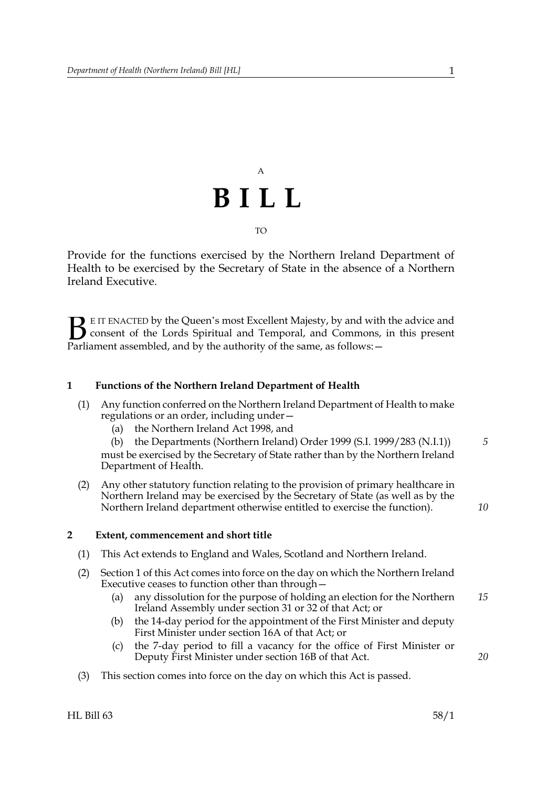## A **BILL** TO

Provide for the functions exercised by the Northern Ireland Department of Health to be exercised by the Secretary of State in the absence of a Northern Ireland Executive.

E IT ENACTED by the Queen's most Excellent Majesty, by and with the advice and consent of the Lords Spiritual and Temporal, and Commons, in this present Parliament assembled, and by the authority of the same, as follows:  $\mathbf{B}_{\text{e}$ 

#### <span id="page-0-0"></span>**1 Functions of the Northern Ireland Department of Health**

- (1) Any function conferred on the Northern Ireland Department of Health to make regulations or an order, including under—
	- (a) the Northern Ireland Act 1998, and

(b) the Departments (Northern Ireland) Order 1999 (S.I. 1999/283 (N.I.1)) must be exercised by the Secretary of State rather than by the Northern Ireland Department of Health. *5*

(2) Any other statutory function relating to the provision of primary healthcare in Northern Ireland may be exercised by the Secretary of State (as well as by the Northern Ireland department otherwise entitled to exercise the function).

### *10*

*20*

#### **2 Extent, commencement and short title**

- (1) This Act extends to England and Wales, Scotland and Northern Ireland.
- (2) Section [1](#page-0-0) of this Act comes into force on the day on which the Northern Ireland Executive ceases to function other than through—
	- (a) any dissolution for the purpose of holding an election for the Northern Ireland Assembly under section 31 or 32 of that Act; or *15*
	- (b) the 14-day period for the appointment of the First Minister and deputy First Minister under section 16A of that Act; or
	- (c) the 7-day period to fill a vacancy for the office of First Minister or Deputy First Minister under section 16B of that Act.
- (3) This section comes into force on the day on which this Act is passed.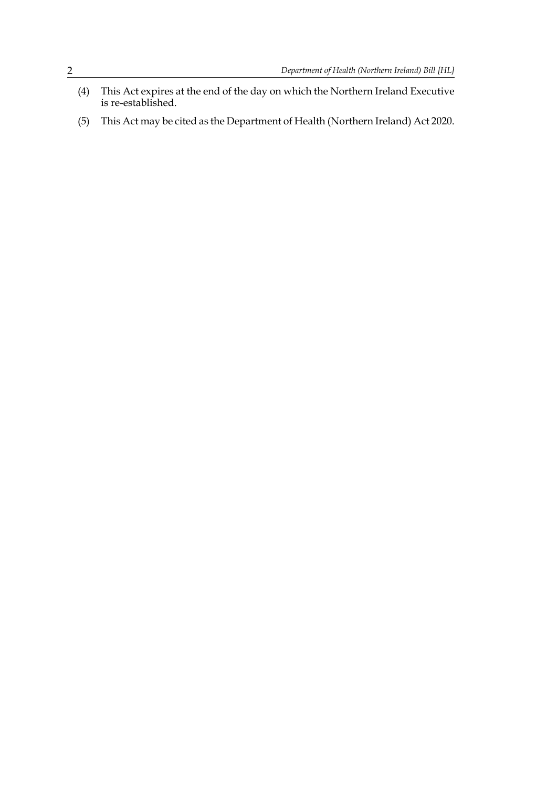- (4) This Act expires at the end of the day on which the Northern Ireland Executive is re-established.
- (5) This Act may be cited as the Department of Health (Northern Ireland) Act 2020.